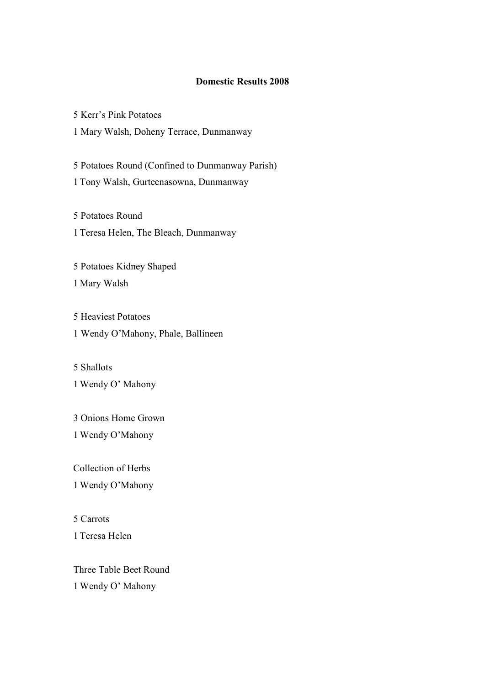## **Domestic Results 2008**

5 Kerr's Pink Potatoes

1 Mary Walsh, Doheny Terrace, Dunmanway

5 Potatoes Round (Confined to Dunmanway Parish) 1 Tony Walsh, Gurteenasowna, Dunmanway

5 Potatoes Round 1 Teresa Helen, The Bleach, Dunmanway

5 Potatoes Kidney Shaped 1 Mary Walsh

5 Heaviest Potatoes 1 Wendy O'Mahony, Phale, Ballineen

5 Shallots 1 Wendy O' Mahony

3 Onions Home Grown 1 Wendy O'Mahony

Collection of Herbs 1 Wendy O'Mahony

5 Carrots 1 Teresa Helen

Three Table Beet Round 1 Wendy O' Mahony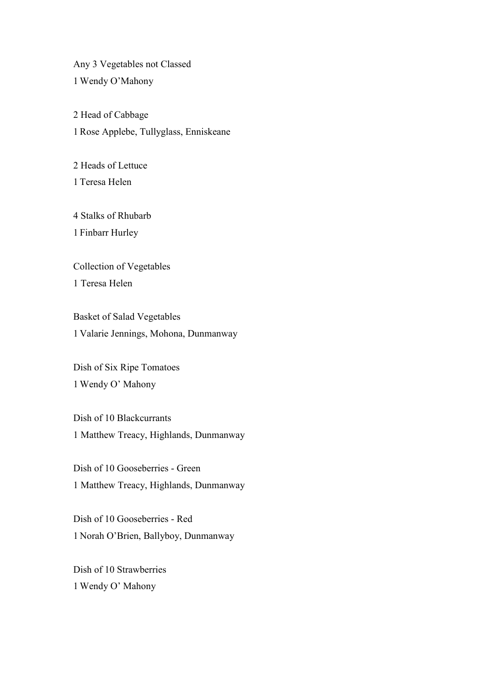Any 3 Vegetables not Classed 1 Wendy O'Mahony

2 Head of Cabbage 1 Rose Applebe, Tullyglass, Enniskeane

2 Heads of Lettuce 1 Teresa Helen

4 Stalks of Rhubarb 1 Finbarr Hurley

Collection of Vegetables 1 Teresa Helen

Basket of Salad Vegetables 1 Valarie Jennings, Mohona, Dunmanway

Dish of Six Ripe Tomatoes 1 Wendy O' Mahony

Dish of 10 Blackcurrants 1 Matthew Treacy, Highlands, Dunmanway

Dish of 10 Gooseberries - Green 1 Matthew Treacy, Highlands, Dunmanway

Dish of 10 Gooseberries - Red 1 Norah O'Brien, Ballyboy, Dunmanway

Dish of 10 Strawberries 1 Wendy O' Mahony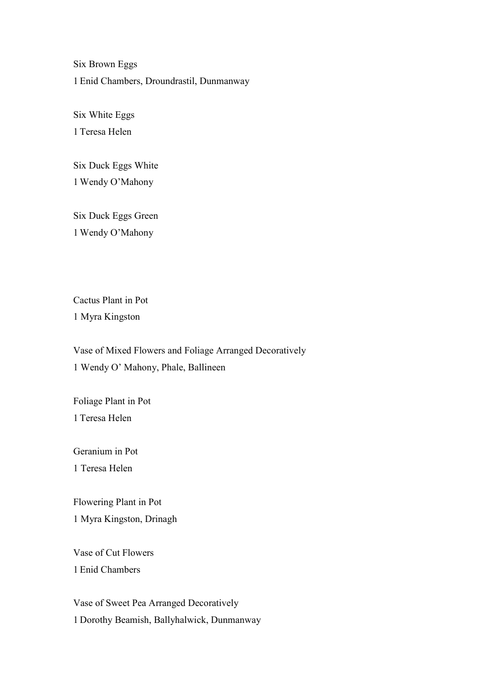Six Brown Eggs 1 Enid Chambers, Droundrastil, Dunmanway

Six White Eggs 1 Teresa Helen

Six Duck Eggs White 1 Wendy O'Mahony

Six Duck Eggs Green 1 Wendy O'Mahony

Cactus Plant in Pot 1 Myra Kingston

Vase of Mixed Flowers and Foliage Arranged Decoratively 1 Wendy O' Mahony, Phale, Ballineen

Foliage Plant in Pot 1 Teresa Helen

Geranium in Pot 1 Teresa Helen

Flowering Plant in Pot 1 Myra Kingston, Drinagh

Vase of Cut Flowers 1 Enid Chambers

Vase of Sweet Pea Arranged Decoratively 1 Dorothy Beamish, Ballyhalwick, Dunmanway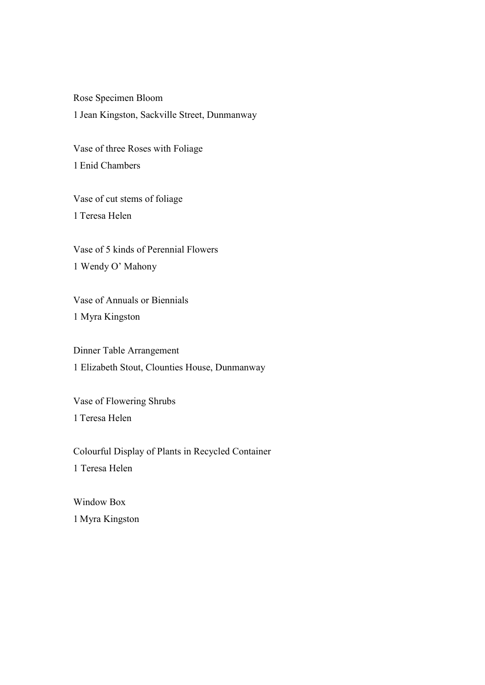Rose Specimen Bloom 1 Jean Kingston, Sackville Street, Dunmanway

Vase of three Roses with Foliage 1 Enid Chambers

Vase of cut stems of foliage 1 Teresa Helen

Vase of 5 kinds of Perennial Flowers 1 Wendy O' Mahony

Vase of Annuals or Biennials 1 Myra Kingston

Dinner Table Arrangement 1 Elizabeth Stout, Clounties House, Dunmanway

Vase of Flowering Shrubs 1 Teresa Helen

Colourful Display of Plants in Recycled Container 1 Teresa Helen

Window Box 1 Myra Kingston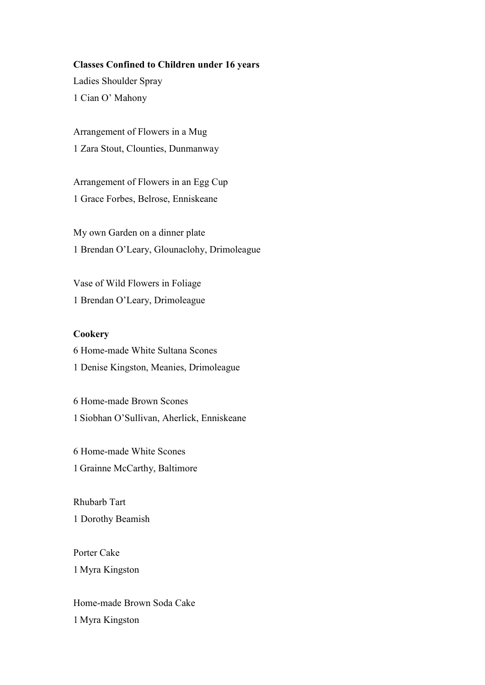#### **Classes Confined to Children under 16 years**

Ladies Shoulder Spray 1 Cian O' Mahony

Arrangement of Flowers in a Mug 1 Zara Stout, Clounties, Dunmanway

Arrangement of Flowers in an Egg Cup 1 Grace Forbes, Belrose, Enniskeane

My own Garden on a dinner plate 1 Brendan O'Leary, Glounaclohy, Drimoleague

Vase of Wild Flowers in Foliage 1 Brendan O'Leary, Drimoleague

#### **Cookery**

6 Home-made White Sultana Scones 1 Denise Kingston, Meanies, Drimoleague

6 Home-made Brown Scones 1 Siobhan O'Sullivan, Aherlick, Enniskeane

6 Home-made White Scones 1 Grainne McCarthy, Baltimore

Rhubarb Tart 1 Dorothy Beamish

Porter Cake 1 Myra Kingston

Home-made Brown Soda Cake 1 Myra Kingston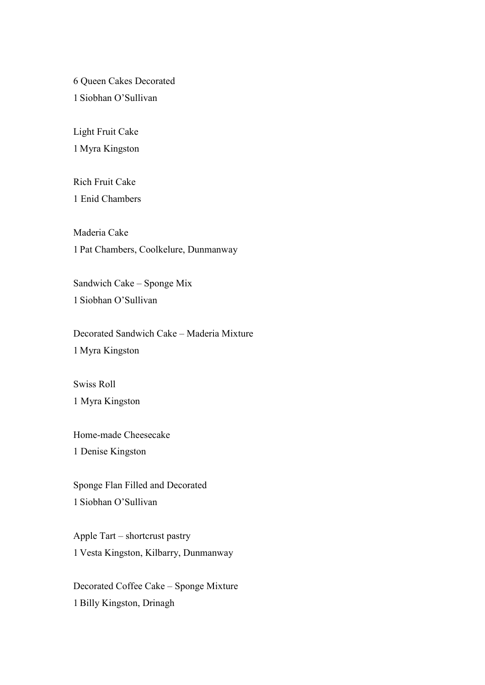6 Queen Cakes Decorated 1 Siobhan O'Sullivan

Light Fruit Cake 1 Myra Kingston

Rich Fruit Cake 1 Enid Chambers

Maderia Cake 1 Pat Chambers, Coolkelure, Dunmanway

Sandwich Cake – Sponge Mix 1 Siobhan O'Sullivan

Decorated Sandwich Cake – Maderia Mixture 1 Myra Kingston

Swiss Roll 1 Myra Kingston

Home-made Cheesecake 1 Denise Kingston

Sponge Flan Filled and Decorated 1 Siobhan O'Sullivan

Apple Tart – shortcrust pastry 1 Vesta Kingston, Kilbarry, Dunmanway

Decorated Coffee Cake – Sponge Mixture 1 Billy Kingston, Drinagh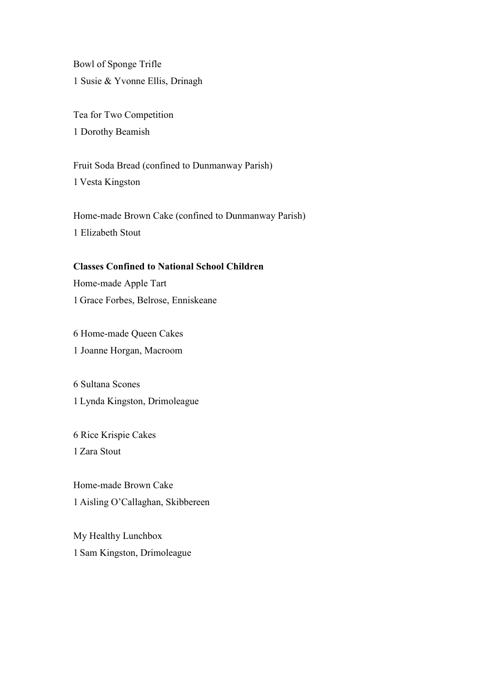Bowl of Sponge Trifle 1 Susie & Yvonne Ellis, Drinagh

Tea for Two Competition 1 Dorothy Beamish

Fruit Soda Bread (confined to Dunmanway Parish) 1 Vesta Kingston

Home-made Brown Cake (confined to Dunmanway Parish) 1 Elizabeth Stout

## **Classes Confined to National School Children**

Home-made Apple Tart 1 Grace Forbes, Belrose, Enniskeane

6 Home-made Queen Cakes 1 Joanne Horgan, Macroom

6 Sultana Scones 1 Lynda Kingston, Drimoleague

6 Rice Krispie Cakes 1 Zara Stout

Home-made Brown Cake 1 Aisling O'Callaghan, Skibbereen

My Healthy Lunchbox 1 Sam Kingston, Drimoleague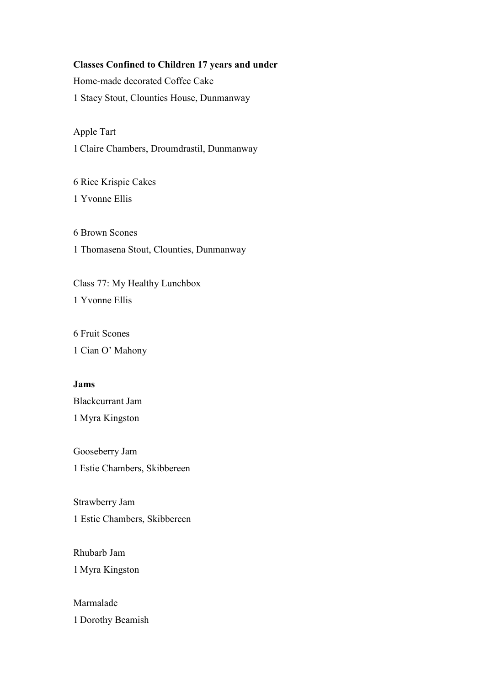## **Classes Confined to Children 17 years and under**

Home-made decorated Coffee Cake 1 Stacy Stout, Clounties House, Dunmanway

Apple Tart 1 Claire Chambers, Droumdrastil, Dunmanway

6 Rice Krispie Cakes 1 Yvonne Ellis

6 Brown Scones 1 Thomasena Stout, Clounties, Dunmanway

Class 77: My Healthy Lunchbox 1 Yvonne Ellis

6 Fruit Scones 1 Cian O' Mahony

#### **Jams**

Blackcurrant Jam 1 Myra Kingston

Gooseberry Jam 1 Estie Chambers, Skibbereen

Strawberry Jam 1 Estie Chambers, Skibbereen

Rhubarb Jam 1 Myra Kingston

Marmalade 1 Dorothy Beamish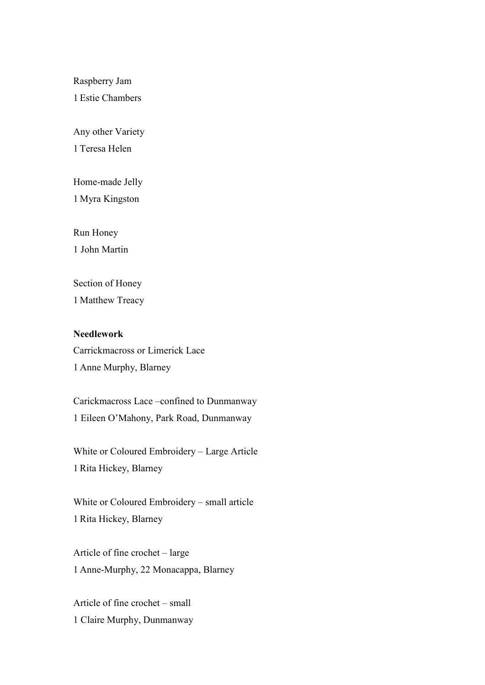Raspberry Jam

1 Estie Chambers

Any other Variety

1 Teresa Helen

Home-made Jelly 1 Myra Kingston

Run Honey

1 John Martin

Section of Honey 1 Matthew Treacy

**Needlework**  Carrickmacross or Limerick Lace 1 Anne Murphy, Blarney

Carickmacross Lace –confined to Dunmanway 1 Eileen O'Mahony, Park Road, Dunmanway

White or Coloured Embroidery – Large Article 1 Rita Hickey, Blarney

White or Coloured Embroidery – small article 1 Rita Hickey, Blarney

Article of fine crochet – large 1 Anne-Murphy, 22 Monacappa, Blarney

Article of fine crochet – small 1 Claire Murphy, Dunmanway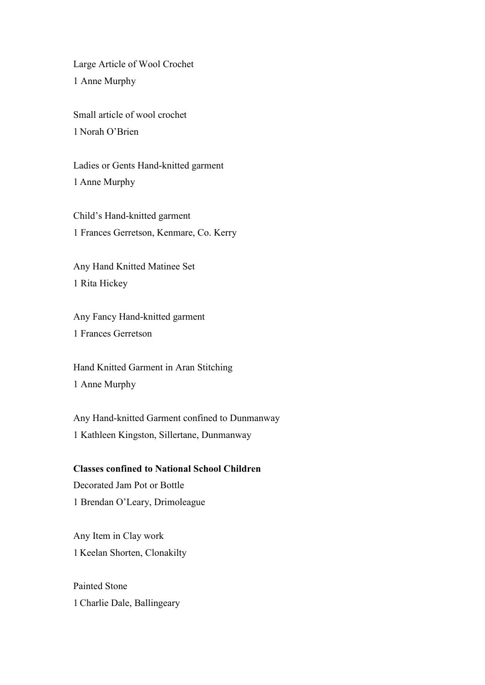Large Article of Wool Crochet 1 Anne Murphy

Small article of wool crochet 1 Norah O'Brien

Ladies or Gents Hand-knitted garment 1 Anne Murphy

Child's Hand-knitted garment 1 Frances Gerretson, Kenmare, Co. Kerry

Any Hand Knitted Matinee Set 1 Rita Hickey

Any Fancy Hand-knitted garment 1 Frances Gerretson

Hand Knitted Garment in Aran Stitching 1 Anne Murphy

Any Hand-knitted Garment confined to Dunmanway 1 Kathleen Kingston, Sillertane, Dunmanway

# **Classes confined to National School Children**

Decorated Jam Pot or Bottle 1 Brendan O'Leary, Drimoleague

Any Item in Clay work 1 Keelan Shorten, Clonakilty

Painted Stone 1 Charlie Dale, Ballingeary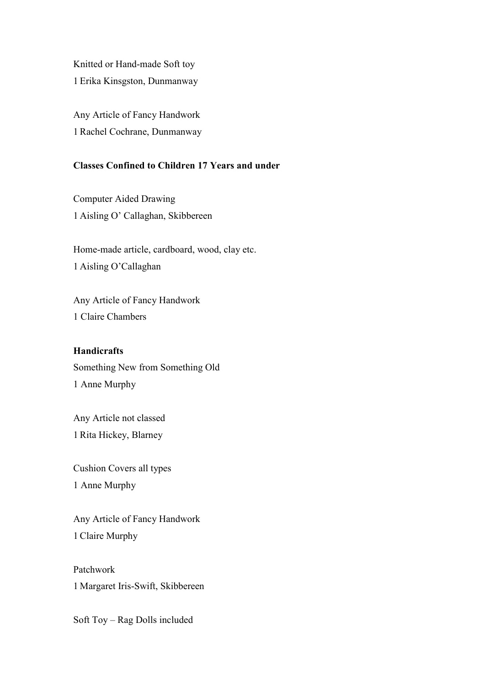Knitted or Hand-made Soft toy 1 Erika Kinsgston, Dunmanway

Any Article of Fancy Handwork 1 Rachel Cochrane, Dunmanway

## **Classes Confined to Children 17 Years and under**

Computer Aided Drawing 1 Aisling O' Callaghan, Skibbereen

Home-made article, cardboard, wood, clay etc. 1 Aisling O'Callaghan

Any Article of Fancy Handwork 1 Claire Chambers

## **Handicrafts**

Something New from Something Old 1 Anne Murphy

Any Article not classed 1 Rita Hickey, Blarney

Cushion Covers all types 1 Anne Murphy

Any Article of Fancy Handwork 1 Claire Murphy

Patchwork 1 Margaret Iris-Swift, Skibbereen

Soft Toy – Rag Dolls included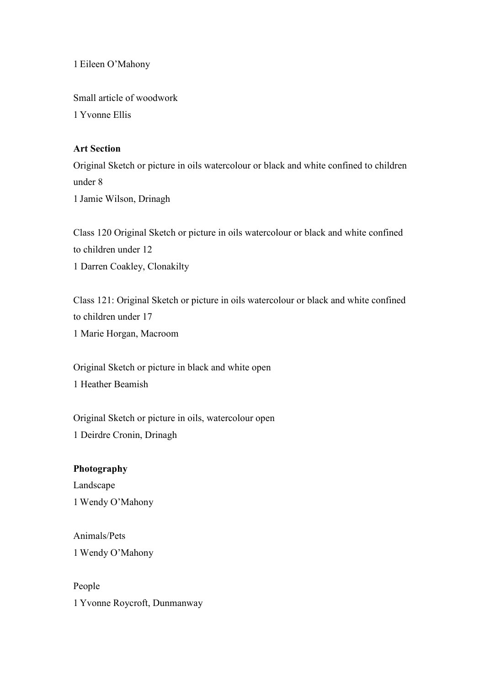1 Eileen O'Mahony

Small article of woodwork 1 Yvonne Ellis

#### **Art Section**

Original Sketch or picture in oils watercolour or black and white confined to children under 8 1 Jamie Wilson, Drinagh

Class 120 Original Sketch or picture in oils watercolour or black and white confined to children under 12 1 Darren Coakley, Clonakilty

Class 121: Original Sketch or picture in oils watercolour or black and white confined to children under 17 1 Marie Horgan, Macroom

Original Sketch or picture in black and white open 1 Heather Beamish

Original Sketch or picture in oils, watercolour open 1 Deirdre Cronin, Drinagh

#### **Photography**

Landscape 1 Wendy O'Mahony

Animals/Pets 1 Wendy O'Mahony

People 1 Yvonne Roycroft, Dunmanway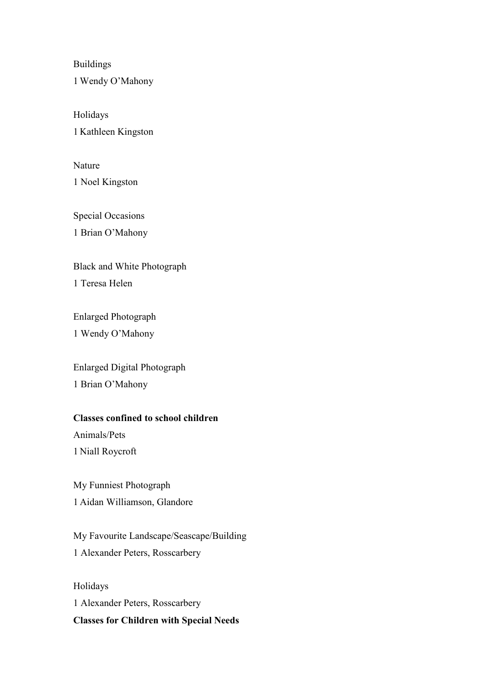Buildings 1 Wendy O'Mahony

Holidays 1 Kathleen Kingston

Nature 1 Noel Kingston

Special Occasions 1 Brian O'Mahony

Black and White Photograph

1 Teresa Helen

Enlarged Photograph 1 Wendy O'Mahony

Enlarged Digital Photograph 1 Brian O'Mahony

## **Classes confined to school children**

Animals/Pets 1 Niall Roycroft

My Funniest Photograph 1 Aidan Williamson, Glandore

My Favourite Landscape/Seascape/Building 1 Alexander Peters, Rosscarbery

Holidays 1 Alexander Peters, Rosscarbery **Classes for Children with Special Needs**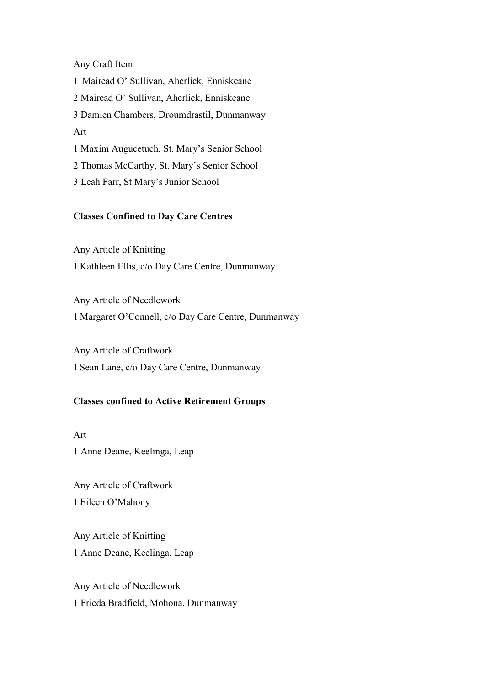#### Any Craft Item

1 Mairead O' Sullivan, Aherlick, Enniskeane 2 Mairead O' Sullivan, Aherlick, Enniskeane 3 Damien Chambers, Droumdrastil, Dunmanway Art 1 Maxim Augucetuch, St. Mary's Senior School 2 Thomas McCarthy, St. Mary's Senior School 3 Leah Farr, St Mary's Junior School

# **Classes Confined to Day Care Centres**

Any Article of Knitting 1 Kathleen Ellis, c/o Day Care Centre, Dunmanway

Any Article of Needlework 1 Margaret O'Connell, c/o Day Care Centre, Dunmanway

Any Article of Craftwork 1 Sean Lane, c/o Day Care Centre, Dunmanway

#### **Classes confined to Active Retirement Groups**

Art 1 Anne Deane, Keelinga, Leap

Any Article of Craftwork 1 Eileen O'Mahony

Any Article of Knitting 1 Anne Deane, Keelinga, Leap

Any Article of Needlework 1 Frieda Bradfield, Mohona, Dunmanway